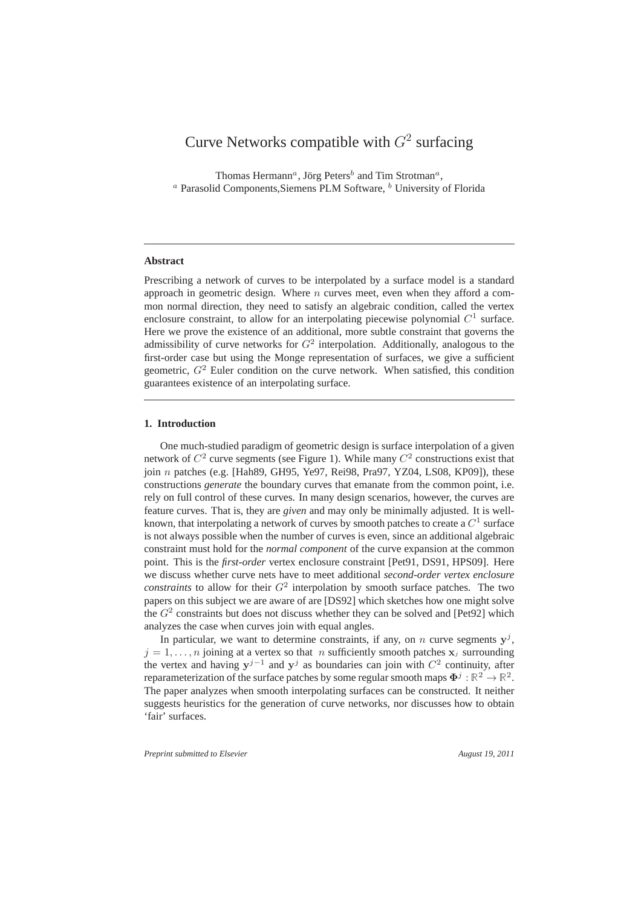# Curve Networks compatible with  $G^2$  surfacing

Thomas Hermann<sup>*a*</sup>, Jörg Peters<sup>b</sup> and Tim Strotman<sup>*a*</sup>,  $a$  Parasolid Components, Siemens PLM Software,  $b$  University of Florida

## **Abstract**

Prescribing a network of curves to be interpolated by a surface model is a standard approach in geometric design. Where  $n$  curves meet, even when they afford a common normal direction, they need to satisfy an algebraic condition, called the vertex enclosure constraint, to allow for an interpolating piecewise polynomial  $C^1$  surface. Here we prove the existence of an additional, more subtle constraint that governs the admissibility of curve networks for  $G<sup>2</sup>$  interpolation. Additionally, analogous to the first-order case but using the Monge representation of surfaces, we give a sufficient geometric,  $G<sup>2</sup>$  Euler condition on the curve network. When satisfied, this condition guarantees existence of an interpolating surface.

## **1. Introduction**

One much-studied paradigm of geometric design is surface interpolation of a given network of  $C^2$  curve segments (see Figure 1). While many  $C^2$  constructions exist that join  $n$  patches (e.g. [Hah89, GH95, Ye97, Rei98, Pra97, YZ04, LS08, KP09]), these constructions *generate* the boundary curves that emanate from the common point, i.e. rely on full control of these curves. In many design scenarios, however, the curves are feature curves. That is, they are *given* and may only be minimally adjusted. It is wellknown, that interpolating a network of curves by smooth patches to create a  $C^1$  surface is not always possible when the number of curves is even, since an additional algebraic constraint must hold for the *normal component* of the curve expansion at the common point. This is the *first-order* vertex enclosure constraint [Pet91, DS91, HPS09]. Here we discuss whether curve nets have to meet additional *second-order vertex enclosure constraints* to allow for their  $G^2$  interpolation by smooth surface patches. The two papers on this subject we are aware of are [DS92] which sketches how one might solve the  $G<sup>2</sup>$  constraints but does not discuss whether they can be solved and [Pet92] which analyzes the case when curves join with equal angles.

In particular, we want to determine constraints, if any, on n curve segments  $y^j$ ,  $j = 1, \ldots, n$  joining at a vertex so that n sufficiently smooth patches  $x_j$  surrounding the vertex and having  $y^{j-1}$  and  $y^j$  as boundaries can join with  $C^2$  continuity, after reparameterization of the surface patches by some regular smooth maps  $\Phi^j:\mathbb{R}^2\to\mathbb{R}^2.$ The paper analyzes when smooth interpolating surfaces can be constructed. It neither suggests heuristics for the generation of curve networks, nor discusses how to obtain 'fair' surfaces.

*Preprint submitted to Elsevier August 19, 2011*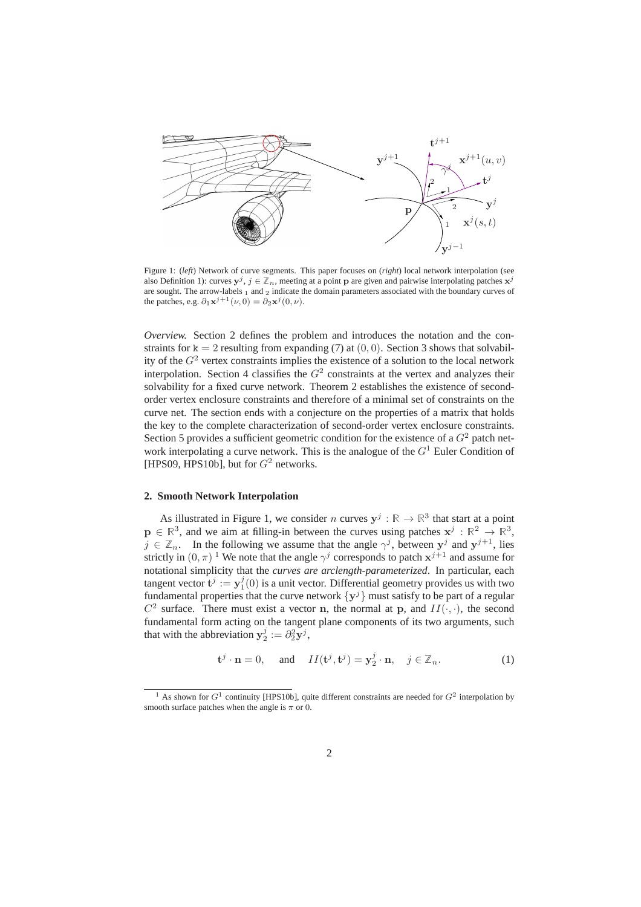

Figure 1: (*left*) Network of curve segments. This paper focuses on (*right*) local network interpolation (see also Definition 1): curves  $y^j$ ,  $j \in \mathbb{Z}_n$ , meeting at a point p are given and pairwise interpolating patches  $x^j$ are sought. The arrow-labels 1 and 2 indicate the domain parameters associated with the boundary curves of the patches, e.g.  $\partial_1 \mathbf{x}^{j+1}(\nu, 0) = \partial_2 \mathbf{x}^j(0, \nu)$ .

*Overview.* Section 2 defines the problem and introduces the notation and the constraints for  $k = 2$  resulting from expanding (7) at (0, 0). Section 3 shows that solvability of the  $G<sup>2</sup>$  vertex constraints implies the existence of a solution to the local network interpolation. Section 4 classifies the  $G<sup>2</sup>$  constraints at the vertex and analyzes their solvability for a fixed curve network. Theorem 2 establishes the existence of secondorder vertex enclosure constraints and therefore of a minimal set of constraints on the curve net. The section ends with a conjecture on the properties of a matrix that holds the key to the complete characterization of second-order vertex enclosure constraints. Section 5 provides a sufficient geometric condition for the existence of a  $G<sup>2</sup>$  patch network interpolating a curve network. This is the analogue of the  $G<sup>1</sup>$  Euler Condition of [HPS09, HPS10b], but for  $G^2$  networks.

### **2. Smooth Network Interpolation**

As illustrated in Figure 1, we consider n curves  $y^j : \mathbb{R} \to \mathbb{R}^3$  that start at a point  $\mathbf{p} \in \mathbb{R}^3$ , and we aim at filling-in between the curves using patches  $\mathbf{x}^j : \mathbb{R}^2 \to \mathbb{R}^3$ ,  $j \in \mathbb{Z}_n$ . In the following we assume that the angle  $\gamma^j$ , between  $y^j$  and  $y^{j+1}$ , lies strictly in  $(0, \pi)$ <sup>1</sup> We note that the angle  $\gamma^j$  corresponds to patch  $x^{j+1}$  and assume for notational simplicity that the *curves are arclength-parameterized*. In particular, each tangent vector  $\mathbf{t}^{j} := \mathbf{y}_{1}^{j}(0)$  is a unit vector. Differential geometry provides us with two fundamental properties that the curve network  $\{y^j\}$  must satisfy to be part of a regular  $C^2$  surface. There must exist a vector n, the normal at p, and  $II(\cdot, \cdot)$ , the second fundamental form acting on the tangent plane components of its two arguments, such that with the abbreviation  $y_2^j := \partial_2^2 y^j$ ,

$$
\mathbf{t}^j \cdot \mathbf{n} = 0, \quad \text{and} \quad II(\mathbf{t}^j, \mathbf{t}^j) = \mathbf{y}_2^j \cdot \mathbf{n}, \quad j \in \mathbb{Z}_n. \tag{1}
$$

<sup>&</sup>lt;sup>1</sup> As shown for  $G^1$  continuity [HPS10b], quite different constraints are needed for  $G^2$  interpolation by smooth surface patches when the angle is  $\pi$  or 0.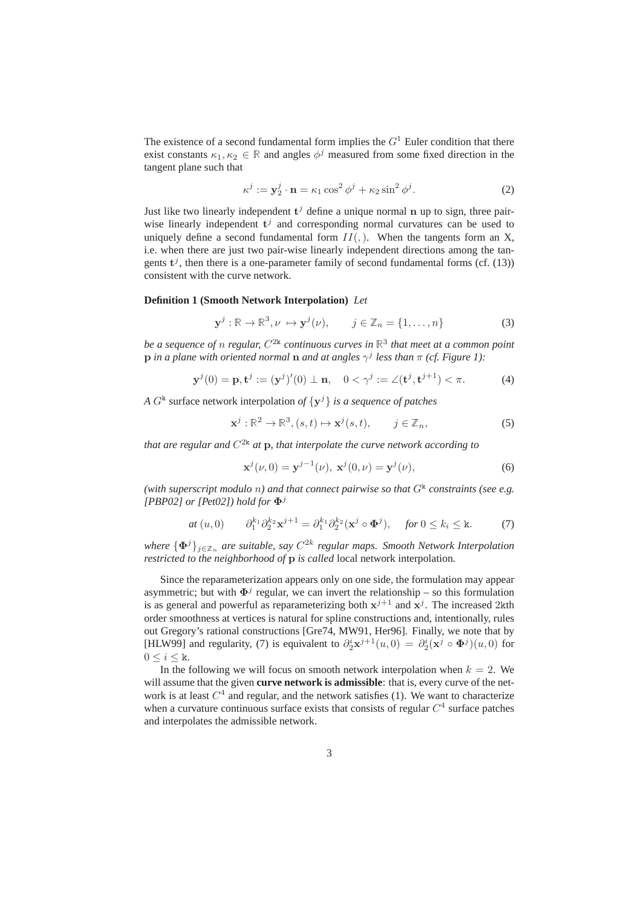The existence of a second fundamental form implies the  $G<sup>1</sup>$  Euler condition that there exist constants  $\kappa_1, \kappa_2 \in \mathbb{R}$  and angles  $\phi^j$  measured from some fixed direction in the tangent plane such that

$$
\kappa^j := \mathbf{y}_2^j \cdot \mathbf{n} = \kappa_1 \cos^2 \phi^j + \kappa_2 \sin^2 \phi^j. \tag{2}
$$

Just like two linearly independent  $t^j$  define a unique normal n up to sign, three pairwise linearly independent  $t^j$  and corresponding normal curvatures can be used to uniquely define a second fundamental form  $II($ ,  $)$ . When the tangents form an X, i.e. when there are just two pair-wise linearly independent directions among the tangents  $t^j$ , then there is a one-parameter family of second fundamental forms (cf. (13)) consistent with the curve network.

## **Definition 1 (Smooth Network Interpolation)** *Let*

$$
\mathbf{y}^j : \mathbb{R} \to \mathbb{R}^3, \nu \mapsto \mathbf{y}^j(\nu), \qquad j \in \mathbb{Z}_n = \{1, \dots, n\}
$$
 (3)

*be a sequence of* n *regular,* C 2k *continuous curves in* <sup>R</sup><sup>3</sup> *that meet at a common point* p *in a plane with oriented normal* n *and at angles* γ j *less than* π *(cf. Figure 1):*

$$
\mathbf{y}^{j}(0) = \mathbf{p}, \mathbf{t}^{j} := (\mathbf{y}^{j})'(0) \perp \mathbf{n}, \quad 0 < \gamma^{j} := \angle(\mathbf{t}^{j}, \mathbf{t}^{j+1}) < \pi.
$$
 (4)

*A*  $G^k$  surface network interpolation of  $\{y^j\}$  *is a sequence of patches* 

$$
\mathbf{x}^j : \mathbb{R}^2 \to \mathbb{R}^3, (s, t) \mapsto \mathbf{x}^j(s, t), \qquad j \in \mathbb{Z}_n,
$$
 (5)

that are regular and  $C^{2k}$  at  $\mathbf p$ , that interpolate the curve network according to

$$
\mathbf{x}^{j}(\nu,0) = \mathbf{y}^{j-1}(\nu), \ \mathbf{x}^{j}(0,\nu) = \mathbf{y}^{j}(\nu), \tag{6}
$$

(with superscript modulo  $n$ ) and that connect pairwise so that  $G^{\mathbf{k}}$  constraints (see e.g. *[PBP02] or [Pet02]) hold for*  $\Phi^{j}$ 

$$
at (u,0) \qquad \partial_1^{k_1} \partial_2^{k_2} \mathbf{x}^{j+1} = \partial_1^{k_1} \partial_2^{k_2} (\mathbf{x}^j \circ \mathbf{\Phi}^j), \quad \text{for } 0 \le k_i \le \mathbf{k}. \tag{7}
$$

*where*  $\{\Phi^j\}_{j\in\mathbb{Z}_n}$  are suitable, say  $C^{2k}$  regular maps. Smooth Network Interpolation *restricted to the neighborhood of* **p** *is called* local network interpolation.

Since the reparameterization appears only on one side, the formulation may appear asymmetric; but with  $\Phi^{j}$  regular, we can invert the relationship – so this formulation is as general and powerful as reparameterizing both  $x^{j+1}$  and  $x^j$ . The increased 2kth order smoothness at vertices is natural for spline constructions and, intentionally, rules out Gregory's rational constructions [Gre74, MW91, Her96]. Finally, we note that by [HLW99] and regularity, (7) is equivalent to  $\partial_2^i {\bf x}^{j+1}(u,0) = \partial_2^i ({\bf x}^j \circ {\bf \Phi}^j)(u,0)$  for  $0 \leq i \leq k$ .

In the following we will focus on smooth network interpolation when  $k = 2$ . We will assume that the given **curve network is admissible**: that is, every curve of the network is at least  $C<sup>4</sup>$  and regular, and the network satisfies (1). We want to characterize when a curvature continuous surface exists that consists of regular  $C<sup>4</sup>$  surface patches and interpolates the admissible network.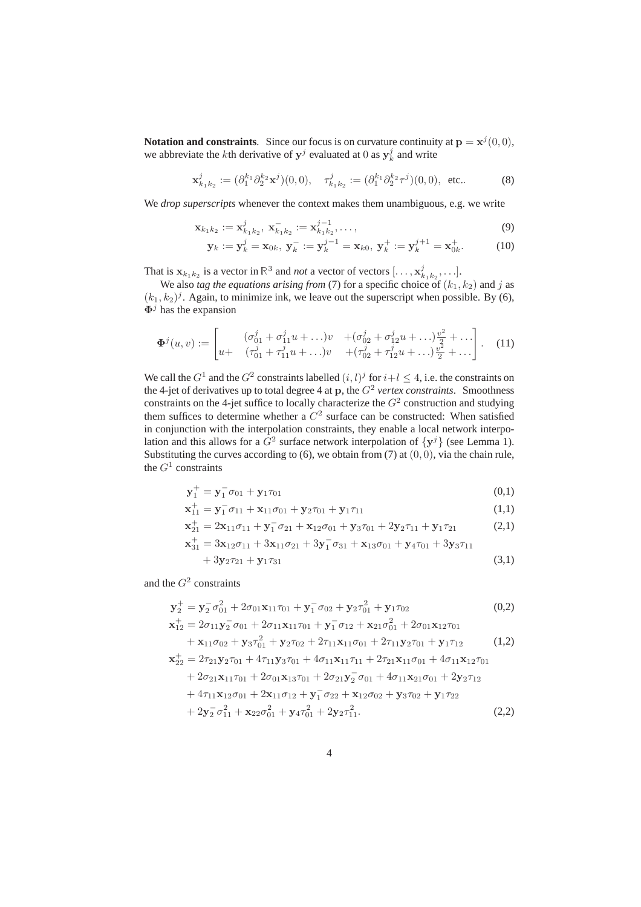**Notation and constraints**. Since our focus is on curvature continuity at  $\mathbf{p} = \mathbf{x}^j(0,0)$ , we abbreviate the *k*th derivative of  $y^j$  evaluated at 0 as  $y^j_k$  and write

$$
\mathbf{x}_{k_1k_2}^j := (\partial_1^{k_1} \partial_2^{k_2} \mathbf{x}^j)(0,0), \quad \tau_{k_1k_2}^j := (\partial_1^{k_1} \partial_2^{k_2} \tau^j)(0,0), \text{ etc.}.
$$
 (8)

We *drop superscripts* whenever the context makes them unambiguous, e.g. we write

$$
\mathbf{x}_{k_1k_2} := \mathbf{x}_{k_1k_2}^j, \ \mathbf{x}_{k_1k_2}^- := \mathbf{x}_{k_1k_2}^{j-1}, \dots,
$$
\n(9)

$$
\mathbf{y}_k := \mathbf{y}_k^j = \mathbf{x}_{0k}, \ \mathbf{y}_k^- := \mathbf{y}_k^{j-1} = \mathbf{x}_{k0}, \ \mathbf{y}_k^+ := \mathbf{y}_k^{j+1} = \mathbf{x}_{0k}^+.
$$
 (10)

That is  $\mathbf{x}_{k_1k_2}$  is a vector in  $\mathbb{R}^3$  and *not* a vector of vectors  $[\ldots, \mathbf{x}_{k_1k_2}^j, \ldots]$ .

We also *tag the equations arising from* (7) for a specific choice of  $(k_1, k_2)$  and j as  $(k_1, k_2)^j$ . Again, to minimize ink, we leave out the superscript when possible. By (6),  $\Phi^j$  has the expansion

$$
\Phi^{j}(u,v) := \begin{bmatrix} (\sigma_{01}^{j} + \sigma_{11}^{j} u + \ldots)v & + (\sigma_{02}^{j} + \sigma_{12}^{j} u + \ldots)v_{2}^{2} + \ldots \\ u + (\sigma_{01}^{j} + \sigma_{11}^{j} u + \ldots)v & + (\sigma_{02}^{j} + \sigma_{12}^{j} u + \ldots)v_{2}^{2} + \ldots \end{bmatrix} . \tag{11}
$$

We call the  $G^1$  and the  $G^2$  constraints labelled  $(i, l)^j$  for  $i+l \leq 4$ , i.e. the constraints on the 4-jet of derivatives up to total degree 4 at  $\mathbf{p}$ , the  $G^2$  vertex constraints. Smoothness constraints on the 4-jet suffice to locally characterize the  $G<sup>2</sup>$  construction and studying them suffices to determine whether a  $C<sup>2</sup>$  surface can be constructed: When satisfied in conjunction with the interpolation constraints, they enable a local network interpolation and this allows for a  $G^2$  surface network interpolation of  $\{y^j\}$  (see Lemma 1). Substituting the curves according to  $(6)$ , we obtain from  $(7)$  at  $(0, 0)$ , via the chain rule, the  $G^1$  constraints

$$
\mathbf{y}_1^+ = \mathbf{y}_1^- \sigma_{01} + \mathbf{y}_1 \tau_{01} \tag{0,1}
$$

$$
\mathbf{x}_{11}^+ = \mathbf{y}_1^- \sigma_{11} + \mathbf{x}_{11} \sigma_{01} + \mathbf{y}_2 \tau_{01} + \mathbf{y}_1 \tau_{11} \tag{1,1}
$$

$$
\mathbf{x}_{21}^+ = 2\mathbf{x}_{11}\sigma_{11} + \mathbf{y}_1^-\sigma_{21} + \mathbf{x}_{12}\sigma_{01} + \mathbf{y}_3\tau_{01} + 2\mathbf{y}_2\tau_{11} + \mathbf{y}_1\tau_{21} \tag{2,1}
$$

$$
\mathbf{x}_{31}^+ = 3\mathbf{x}_{12}\sigma_{11} + 3\mathbf{x}_{11}\sigma_{21} + 3\mathbf{y}_1^-\sigma_{31} + \mathbf{x}_{13}\sigma_{01} + \mathbf{y}_4\tau_{01} + 3\mathbf{y}_3\tau_{11}
$$

$$
+3y_2\tau_{21}+y_1\tau_{31} \tag{3,1}
$$

and the  $G^2$  constraints

$$
\mathbf{y}_{2}^{+} = \mathbf{y}_{2}^{-} \sigma_{01}^{2} + 2\sigma_{01}\mathbf{x}_{11}\tau_{01} + \mathbf{y}_{1}^{-} \sigma_{02} + \mathbf{y}_{2}\tau_{01}^{2} + \mathbf{y}_{1}\tau_{02}
$$
(0,2)  
\n
$$
\mathbf{x}_{12}^{+} = 2\sigma_{11}\mathbf{y}_{2}^{-} \sigma_{01} + 2\sigma_{11}\mathbf{x}_{11}\tau_{01} + \mathbf{y}_{1}^{-} \sigma_{12} + \mathbf{x}_{21}\sigma_{01}^{2} + 2\sigma_{01}\mathbf{x}_{12}\tau_{01}
$$
  
\n
$$
+ \mathbf{x}_{11}\sigma_{02} + \mathbf{y}_{3}\tau_{01}^{2} + \mathbf{y}_{2}\tau_{02} + 2\tau_{11}\mathbf{x}_{11}\sigma_{01} + 2\tau_{11}\mathbf{y}_{2}\tau_{01} + \mathbf{y}_{1}\tau_{12}
$$
(1,2)  
\n
$$
\mathbf{x}_{22}^{+} = 2\tau_{21}\mathbf{y}_{2}\tau_{01} + 4\tau_{11}\mathbf{y}_{3}\tau_{01} + 4\sigma_{11}\mathbf{x}_{11}\tau_{11} + 2\tau_{21}\mathbf{x}_{11}\sigma_{01} + 4\sigma_{11}\mathbf{x}_{12}\tau_{01}
$$
  
\n
$$
+ 2\sigma_{21}\mathbf{x}_{11}\tau_{01} + 2\sigma_{01}\mathbf{x}_{13}\tau_{01} + 2\sigma_{21}\mathbf{y}_{2}^{-} \sigma_{01} + 4\sigma_{11}\mathbf{x}_{21}\sigma_{01} + 2\mathbf{y}_{2}\tau_{12}
$$
  
\n
$$
+ 4\tau_{11}\mathbf{x}_{12}\sigma_{01} + 2\mathbf{x}_{11}\sigma_{12} + \mathbf{y}_{1}^{-} \sigma_{22} + \mathbf{x}_{12}\sigma_{02} + \mathbf{y}_{3}\tau_{02} + \mathbf{y}_{1}\tau_{22}
$$
  
\n
$$
+ 2\mathbf{y}_{2}^{-} \sigma_{11}^{2} + \mathbf{x}_{22}\sigma_{01}^{2} + \mathbf{y}_{4}\tau_{01}^{2} + 2\math
$$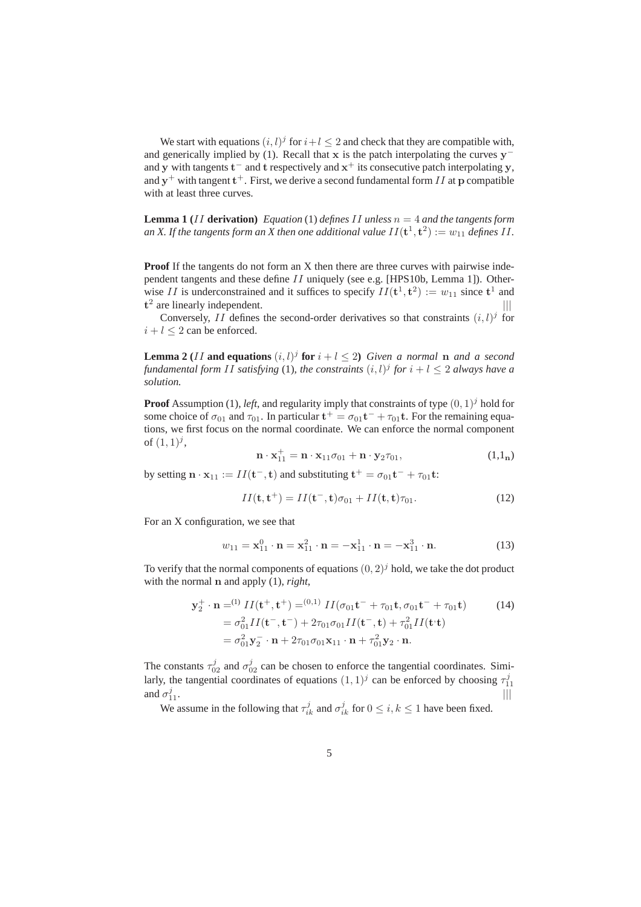We start with equations  $(i, l)^j$  for  $i+l \leq 2$  and check that they are compatible with, and generically implied by (1). Recall that x is the patch interpolating the curves  $y^$ and y with tangents  $t^-$  and t respectively and  $x^+$  its consecutive patch interpolating y, and  $y^{+}$  with tangent  $t^{+}$ . First, we derive a second fundamental form II at p compatible with at least three curves.

**Lemma 1** (*II* **derivation**) *Equation* (1) *defines II unless*  $n = 4$  *and the tangents form* an X. If the tangents form an X then one additional value  $II({\bf t}^1,{\bf t}^2):=w_{11}$  defines  $II.$ 

**Proof** If the tangents do not form an X then there are three curves with pairwise independent tangents and these define II uniquely (see e.g. [HPS10b, Lemma 1]). Otherwise II is underconstrained and it suffices to specify  $II(\mathbf{t}^1, \mathbf{t}^2) := w_{11}$  since  $\mathbf{t}^1$  and  $t^2$  are linearly independent.  $||$ 

Conversely, II defines the second-order derivatives so that constraints  $(i, l)^j$  for  $i + l \leq 2$  can be enforced.

**Lemma 2** (*II* and equations  $(i, l)^j$  for  $i + l \leq 2$ ) *Given a normal* n *and a second fundamental form II satisfying* (1), the constraints  $(i, l)^j$  for  $i + l \leq 2$  always have a *solution.*

**Proof** Assumption (1), *left*, and regularity imply that constraints of type  $(0, 1)^j$  hold for some choice of  $\sigma_{01}$  and  $\tau_{01}$ . In particular  $t^+ = \sigma_{01}t^- + \tau_{01}t$ . For the remaining equations, we first focus on the normal coordinate. We can enforce the normal component of  $(1, 1)^j$ ,

$$
\mathbf{n} \cdot \mathbf{x}_{11}^+ = \mathbf{n} \cdot \mathbf{x}_{11} \sigma_{01} + \mathbf{n} \cdot \mathbf{y}_2 \tau_{01}, \tag{1,1n}
$$

by setting  $\mathbf{n} \cdot \mathbf{x}_{11} := II(\mathbf{t}^-,\mathbf{t})$  and substituting  $\mathbf{t}^+ = \sigma_{01}\mathbf{t}^- + \tau_{01}\mathbf{t}$ :

$$
II(\mathbf{t}, \mathbf{t}^+) = II(\mathbf{t}^-, \mathbf{t})\sigma_{01} + II(\mathbf{t}, \mathbf{t})\tau_{01}.
$$
 (12)

For an X configuration, we see that

$$
w_{11} = \mathbf{x}_{11}^0 \cdot \mathbf{n} = \mathbf{x}_{11}^2 \cdot \mathbf{n} = -\mathbf{x}_{11}^1 \cdot \mathbf{n} = -\mathbf{x}_{11}^3 \cdot \mathbf{n}.\tag{13}
$$

To verify that the normal components of equations  $(0, 2)^j$  hold, we take the dot product with the normal n and apply (1), *right*,

$$
\mathbf{y}_{2}^{+} \cdot \mathbf{n} = ^{(1)} II(\mathbf{t}^{+}, \mathbf{t}^{+}) = ^{(0,1)} II(\sigma_{01} \mathbf{t}^{-} + \tau_{01} \mathbf{t}, \sigma_{01} \mathbf{t}^{-} + \tau_{01} \mathbf{t})
$$
(14)  
\n
$$
= \sigma_{01}^{2} II(\mathbf{t}^{-}, \mathbf{t}^{-}) + 2\tau_{01}\sigma_{01}II(\mathbf{t}^{-}, \mathbf{t}) + \tau_{01}^{2}II(\mathbf{t}^{+}\mathbf{t})
$$
  
\n
$$
= \sigma_{01}^{2} \mathbf{y}_{2}^{-} \cdot \mathbf{n} + 2\tau_{01}\sigma_{01} \mathbf{x}_{11} \cdot \mathbf{n} + \tau_{01}^{2} \mathbf{y}_{2} \cdot \mathbf{n}.
$$

The constants  $\tau_{02}^j$  and  $\sigma_{02}^j$  can be chosen to enforce the tangential coordinates. Similarly, the tangential coordinates of equations  $(1, 1)^j$  can be enforced by choosing  $\tau_{11}^j$ and  $\sigma_1^j$  $\frac{3}{11}$ .

We assume in the following that  $\tau_{ik}^j$  and  $\sigma_{ik}^j$  for  $0 \le i, k \le 1$  have been fixed.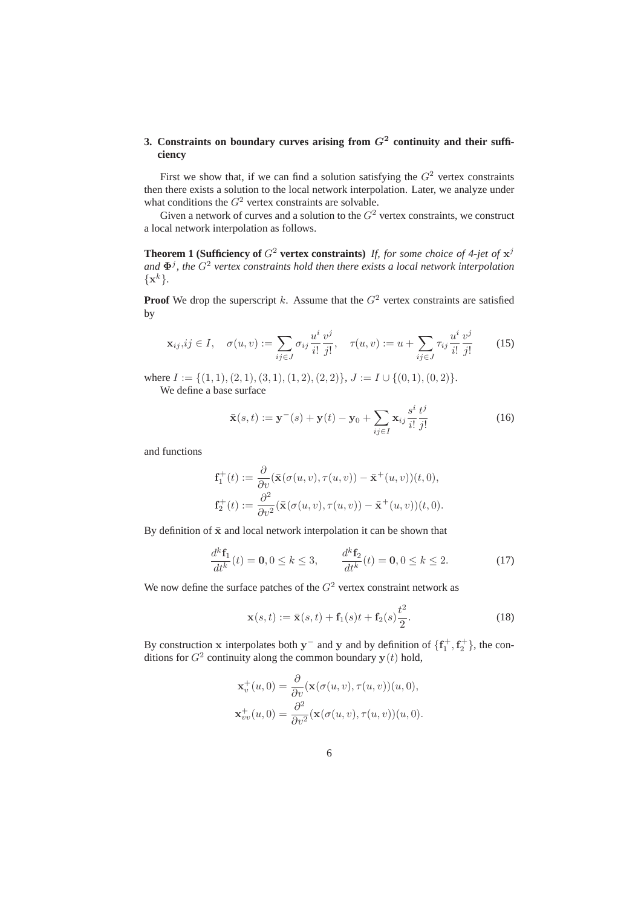# 3. Constraints on boundary curves arising from  $G<sup>2</sup>$  continuity and their suffi**ciency**

First we show that, if we can find a solution satisfying the  $G<sup>2</sup>$  vertex constraints then there exists a solution to the local network interpolation. Later, we analyze under what conditions the  $G^2$  vertex constraints are solvable.

Given a network of curves and a solution to the  $G<sup>2</sup>$  vertex constraints, we construct a local network interpolation as follows.

**Theorem 1 (Sufficiency of**  $G^2$  **vertex constraints)** If, for some choice of 4-jet of  $x^j$ and  $\Phi^j$ , the  $G^2$  vertex constraints hold then there exists a local network interpolation  $\{\mathbf x^k\}.$ 

**Proof** We drop the superscript k. Assume that the  $G<sup>2</sup>$  vertex constraints are satisfied by

$$
\mathbf{x}_{ij}, ij \in I, \quad \sigma(u, v) := \sum_{ij \in J} \sigma_{ij} \frac{u^i}{i!} \frac{v^j}{j!}, \quad \tau(u, v) := u + \sum_{ij \in J} \tau_{ij} \frac{u^i}{i!} \frac{v^j}{j!} \quad (15)
$$

where  $I := \{(1, 1), (2, 1), (3, 1), (1, 2), (2, 2)\}, J := I \cup \{(0, 1), (0, 2)\}.$ We define a base surface

$$
\bar{\mathbf{x}}(s,t) := \mathbf{y}^-(s) + \mathbf{y}(t) - \mathbf{y}_0 + \sum_{ij \in I} \mathbf{x}_{ij} \frac{s^i}{i!} \frac{t^j}{j!}
$$
(16)

and functions

$$
\mathbf{f}_1^+(t) := \frac{\partial}{\partial v} (\bar{\mathbf{x}}(\sigma(u,v), \tau(u,v)) - \bar{\mathbf{x}}^+(u,v))(t,0),
$$
  

$$
\mathbf{f}_2^+(t) := \frac{\partial^2}{\partial v^2} (\bar{\mathbf{x}}(\sigma(u,v), \tau(u,v)) - \bar{\mathbf{x}}^+(u,v))(t,0).
$$

By definition of  $\bar{x}$  and local network interpolation it can be shown that

$$
\frac{d^k \mathbf{f}_1}{dt^k}(t) = \mathbf{0}, 0 \le k \le 3, \qquad \frac{d^k \mathbf{f}_2}{dt^k}(t) = \mathbf{0}, 0 \le k \le 2.
$$
 (17)

We now define the surface patches of the  $G<sup>2</sup>$  vertex constraint network as

$$
\mathbf{x}(s,t) := \bar{\mathbf{x}}(s,t) + \mathbf{f}_1(s)t + \mathbf{f}_2(s)\frac{t^2}{2}.
$$
 (18)

By construction x interpolates both y<sup>-</sup> and y and by definition of  $\{f_1^+, f_2^+\}$ , the conditions for  $G^2$  continuity along the common boundary  $y(t)$  hold,

$$
\mathbf{x}_v^+(u,0) = \frac{\partial}{\partial v}(\mathbf{x}(\sigma(u,v), \tau(u,v))(u,0),
$$
  

$$
\mathbf{x}_{vv}^+(u,0) = \frac{\partial^2}{\partial v^2}(\mathbf{x}(\sigma(u,v), \tau(u,v))(u,0).
$$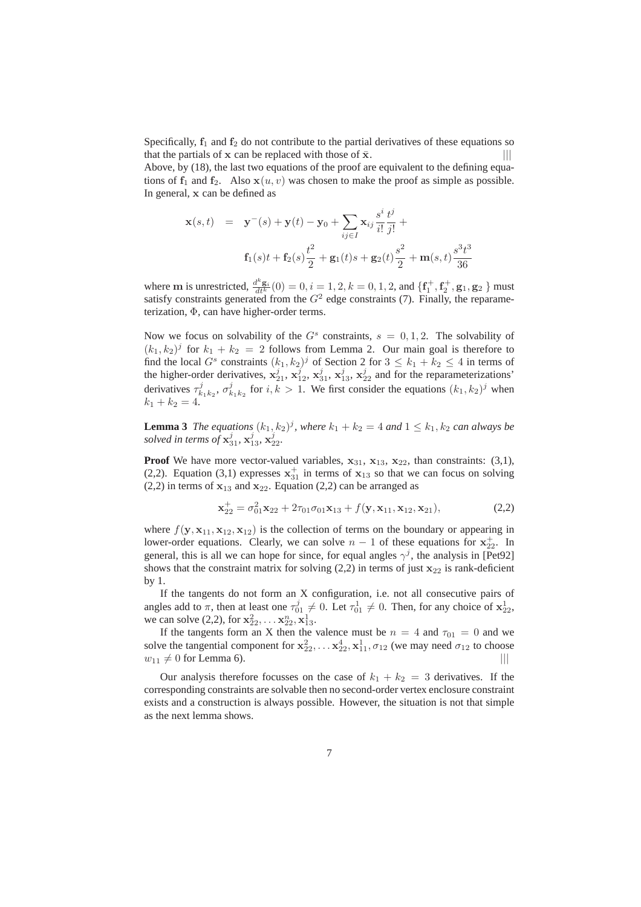Specifically,  $f_1$  and  $f_2$  do not contribute to the partial derivatives of these equations so that the partials of  $x$  can be replaced with those of  $\bar{x}$ .  $|||$ 

Above, by (18), the last two equations of the proof are equivalent to the defining equations of  $f_1$  and  $f_2$ . Also  $x(u, v)$  was chosen to make the proof as simple as possible. In general, x can be defined as

$$
\mathbf{x}(s,t) = \mathbf{y}^-(s) + \mathbf{y}(t) - \mathbf{y}_0 + \sum_{ij \in I} \mathbf{x}_{ij} \frac{s^i}{i!} \frac{t^j}{j!} + \mathbf{f}_1(s)t + \mathbf{f}_2(s) \frac{t^2}{2} + \mathbf{g}_1(t)s + \mathbf{g}_2(t) \frac{s^2}{2} + \mathbf{m}(s,t) \frac{s^3 t^3}{36}
$$

where **m** is unrestricted,  $\frac{d^k \mathbf{g}_i}{dt^k}(0) = 0, i = 1, 2, k = 0, 1, 2,$  and  $\{\mathbf{f}_1^+, \mathbf{f}_2^+, \mathbf{g}_1, \mathbf{g}_2\}$  must satisfy constraints generated from the  $G<sup>2</sup>$  edge constraints (7). Finally, the reparameterization, Φ, can have higher-order terms.

Now we focus on solvability of the  $G<sup>s</sup>$  constraints,  $s = 0, 1, 2$ . The solvability of  $(k_1, k_2)^j$  for  $k_1 + k_2 = 2$  follows from Lemma 2. Our main goal is therefore to find the local  $G^s$  constraints  $(k_1, k_2)^j$  of Section 2 for  $3 \leq k_1 + k_2 \leq 4$  in terms of the higher-order derivatives,  $\mathbf{x}_{21}^j$ ,  $\mathbf{x}_{12}^j$ ,  $\mathbf{x}_{31}^j$ ,  $\mathbf{x}_{13}^j$ ,  $\mathbf{x}_{22}^j$  and for the reparameterizations' derivatives  $\tau_{k_1k_2}^j$ ,  $\sigma_{k_1k_2}^j$  for  $i, k > 1$ . We first consider the equations  $(k_1, k_2)^j$  when  $k_1 + k_2 = 4.$ 

**Lemma 3** *The equations*  $(k_1, k_2)^j$ , where  $k_1 + k_2 = 4$  *and*  $1 \leq k_1, k_2$  *can always be solved in terms of*  $x_{31}^j$ ,  $x_{13}^j$ ,  $x_{22}^j$ .

**Proof** We have more vector-valued variables,  $x_{31}$ ,  $x_{13}$ ,  $x_{22}$ , than constraints: (3,1), (2,2). Equation (3,1) expresses  $x_{31}^+$  in terms of  $x_{13}$  so that we can focus on solving (2,2) in terms of  $x_{13}$  and  $x_{22}$ . Equation (2,2) can be arranged as

$$
\mathbf{x}_{22}^+ = \sigma_{01}^2 \mathbf{x}_{22} + 2\tau_{01}\sigma_{01}\mathbf{x}_{13} + f(\mathbf{y}, \mathbf{x}_{11}, \mathbf{x}_{12}, \mathbf{x}_{21}),
$$
 (2,2)

where  $f(\mathbf{y}, \mathbf{x}_{11}, \mathbf{x}_{12}, \mathbf{x}_{12})$  is the collection of terms on the boundary or appearing in lower-order equations. Clearly, we can solve  $n-1$  of these equations for  $x_{22}^+$ . In general, this is all we can hope for since, for equal angles  $\gamma^j$ , the analysis in [Pet92] shows that the constraint matrix for solving  $(2,2)$  in terms of just  $x_{22}$  is rank-deficient by 1.

If the tangents do not form an X configuration, i.e. not all consecutive pairs of angles add to  $\pi$ , then at least one  $\tau_{01}^j \neq 0$ . Let  $\tau_{01}^1 \neq 0$ . Then, for any choice of  $x_{22}^1$ , we can solve (2,2), for  $x_{22}^2, \ldots, x_{22}^n, x_{13}^1$ .

If the tangents form an X then the valence must be  $n = 4$  and  $\tau_{01} = 0$  and we solve the tangential component for  $x_{22}^2, \ldots x_{22}^4, x_{11}^1, \sigma_{12}$  (we may need  $\sigma_{12}$  to choose  $w_{11} \neq 0$  for Lemma 6). ||||

Our analysis therefore focusses on the case of  $k_1 + k_2 = 3$  derivatives. If the corresponding constraints are solvable then no second-order vertex enclosure constraint exists and a construction is always possible. However, the situation is not that simple as the next lemma shows.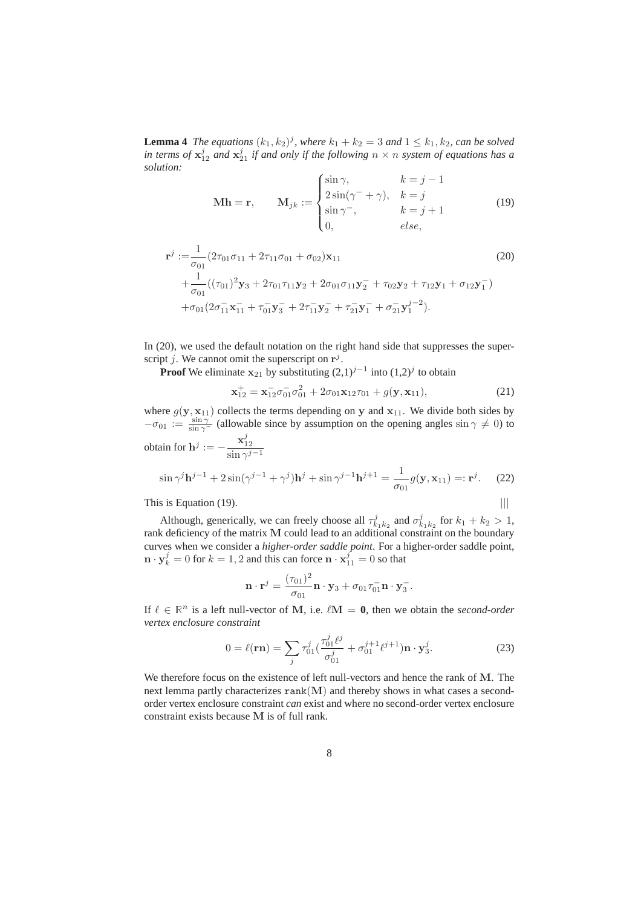**Lemma 4** *The equations*  $(k_1, k_2)^j$ , where  $k_1 + k_2 = 3$  and  $1 \leq k_1, k_2$ , can be solved in terms of  $x_{12}^j$  and  $x_{21}^j$  if and only if the following  $n \times n$  system of equations has a *solution:*

$$
\mathbf{M}\mathbf{h} = \mathbf{r}, \qquad \mathbf{M}_{jk} := \begin{cases} \sin \gamma, & k = j - 1 \\ 2\sin(\gamma^- + \gamma), & k = j \\ \sin \gamma^-, & k = j + 1 \\ 0, & else, \end{cases} \tag{19}
$$

$$
\mathbf{r}^{j} := \frac{1}{\sigma_{01}} (2\tau_{01}\sigma_{11} + 2\tau_{11}\sigma_{01} + \sigma_{02})\mathbf{x}_{11}
$$
\n
$$
+ \frac{1}{\sigma_{01}} ((\tau_{01})^{2}\mathbf{y}_{3} + 2\tau_{01}\tau_{11}\mathbf{y}_{2} + 2\sigma_{01}\sigma_{11}\mathbf{y}_{2}^{-} + \tau_{02}\mathbf{y}_{2} + \tau_{12}\mathbf{y}_{1} + \sigma_{12}\mathbf{y}_{1}^{-})
$$
\n
$$
+ \sigma_{01}(2\sigma_{11}^{-}\mathbf{x}_{11}^{-} + \tau_{01}^{-}\mathbf{y}_{3}^{-} + 2\tau_{11}^{-}\mathbf{y}_{2}^{-} + \tau_{21}^{-}\mathbf{y}_{1}^{-} + \sigma_{21}^{-}\mathbf{y}_{1}^{j-2}).
$$
\n(20)

In (20), we used the default notation on the right hand side that suppresses the superscript j. We cannot omit the superscript on  $r^j$ .

**Proof** We eliminate  $x_{21}$  by substituting  $(2,1)^{j-1}$  into  $(1,2)^j$  to obtain

$$
\mathbf{x}_{12}^+ = \mathbf{x}_{12}^- \sigma_{01}^- \sigma_{01}^2 + 2\sigma_{01} \mathbf{x}_{12} \tau_{01} + g(\mathbf{y}, \mathbf{x}_{11}), \tag{21}
$$

where  $g(y, x_{11})$  collects the terms depending on y and  $x_{11}$ . We divide both sides by  $-\sigma_{01} := \frac{\sin \gamma}{\sin \gamma}$  (allowable since by assumption on the opening angles  $\sin \gamma \neq 0$ ) to obtain for  $h^j := -\frac{x_{12}^j}{x_{12}^j}$  $\sin \gamma^{j-1}$ 

$$
\sin \gamma^j \mathbf{h}^{j-1} + 2\sin(\gamma^{j-1} + \gamma^j)\mathbf{h}^j + \sin \gamma^{j-1}\mathbf{h}^{j+1} = \frac{1}{\sigma_{01}}g(\mathbf{y}, \mathbf{x}_{11}) =: \mathbf{r}^j. \tag{22}
$$

This is Equation (19).  $|||$ 

Although, generically, we can freely choose all 
$$
\tau_{k_1k_2}^j
$$
 and  $\sigma_{k_1k_2}^j$  for  $k_1 + k_2 > 1$ ,  
rank deficiency of the matrix **M** could lead to an additional constraint on the boundary  
curves when we consider a *higher-order saddle point*. For a higher-order saddle point,  
 $\mathbf{n} \cdot \mathbf{y}_k^j = 0$  for  $k = 1, 2$  and this can force  $\mathbf{n} \cdot \mathbf{x}_{11}^j = 0$  so that

$$
\mathbf{n} \cdot \mathbf{r}^j = \frac{(\tau_{01})^2}{\sigma_{01}} \mathbf{n} \cdot \mathbf{y}_3 + \sigma_{01} \tau_{01}^- \mathbf{n} \cdot \mathbf{y}_3^-.
$$

If  $\ell \in \mathbb{R}^n$  is a left null-vector of M, i.e.  $\ell M = 0$ , then we obtain the *second-order vertex enclosure constraint*

$$
0 = \ell(\mathbf{r}\mathbf{n}) = \sum_{j} \tau_{01}^{j} \left( \frac{\tau_{01}^{j} \ell^{j}}{\sigma_{01}^{j}} + \sigma_{01}^{j+1} \ell^{j+1} \right) \mathbf{n} \cdot \mathbf{y}_{3}^{j}.
$$
 (23)

We therefore focus on the existence of left null-vectors and hence the rank of M. The next lemma partly characterizes  $rank(M)$  and thereby shows in what cases a secondorder vertex enclosure constraint *can* exist and where no second-order vertex enclosure constraint exists because M is of full rank.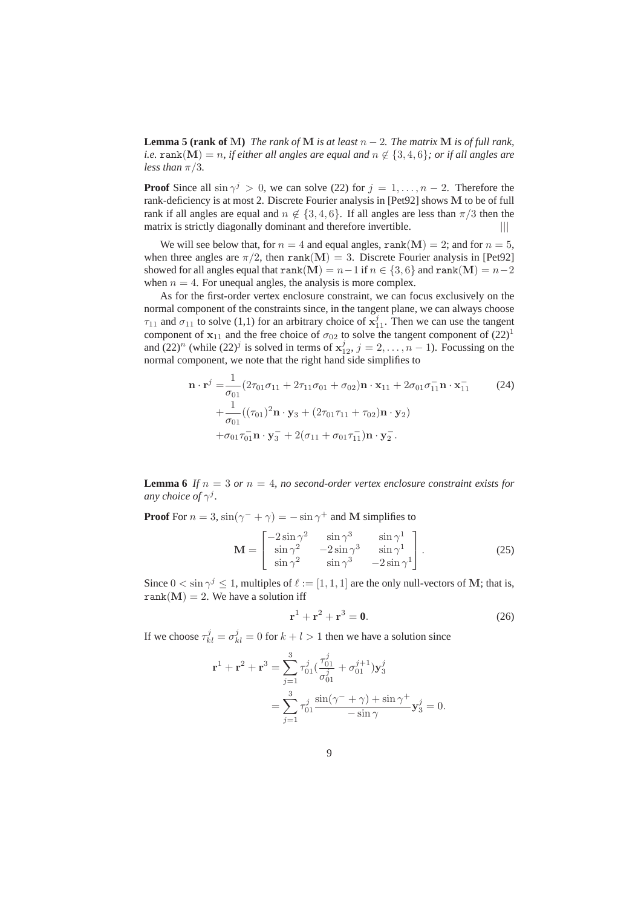**Lemma 5 (rank of M)** *The rank of* **M** *is at least*  $n-2$ *. The matrix* **M** *is of full rank, i.e.* rank(M) = n, if either all angles are equal and  $n \notin \{3, 4, 6\}$ ; or if all angles are *less than*  $\pi/3$ *.* 

**Proof** Since all  $\sin \gamma^j > 0$ , we can solve (22) for  $j = 1, ..., n - 2$ . Therefore the rank-deficiency is at most 2. Discrete Fourier analysis in [Pet92] shows M to be of full rank if all angles are equal and  $n \notin \{3, 4, 6\}$ . If all angles are less than  $\pi/3$  then the matrix is strictly diagonally dominant and therefore invertible.  $|||$ 

We will see below that, for  $n = 4$  and equal angles, rank(M) = 2; and for  $n = 5$ , when three angles are  $\pi/2$ , then rank(M) = 3. Discrete Fourier analysis in [Pet92] showed for all angles equal that rank(M) =  $n-1$  if  $n \in \{3, 6\}$  and rank(M) =  $n-2$ when  $n = 4$ . For unequal angles, the analysis is more complex.

As for the first-order vertex enclosure constraint, we can focus exclusively on the normal component of the constraints since, in the tangent plane, we can always choose  $\tau_{11}$  and  $\sigma_{11}$  to solve (1,1) for an arbitrary choice of  $\mathbf{x}_{11}^j$ . Then we can use the tangent component of  $x_{11}$  and the free choice of  $\sigma_{02}$  to solve the tangent component of  $(22)^{1}$ and  $(22)^n$  (while  $(22)^j$  is solved in terms of  $x_{12}^j$ ,  $j = 2, ..., n - 1$ ). Focussing on the normal component, we note that the right hand side simplifies to

$$
\mathbf{n} \cdot \mathbf{r}^{j} = \frac{1}{\sigma_{01}} (2\tau_{01}\sigma_{11} + 2\tau_{11}\sigma_{01} + \sigma_{02})\mathbf{n} \cdot \mathbf{x}_{11} + 2\sigma_{01}\sigma_{11}^{-}\mathbf{n} \cdot \mathbf{x}_{11}^{-}
$$
\n
$$
+ \frac{1}{\sigma_{01}} ((\tau_{01})^{2}\mathbf{n} \cdot \mathbf{y}_{3} + (2\tau_{01}\tau_{11} + \tau_{02})\mathbf{n} \cdot \mathbf{y}_{2})
$$
\n
$$
+ \sigma_{01}\tau_{01}^{-}\mathbf{n} \cdot \mathbf{y}_{3}^{-} + 2(\sigma_{11} + \sigma_{01}\tau_{11}^{-})\mathbf{n} \cdot \mathbf{y}_{2}^{-}.
$$
\n(24)

**Lemma 6** If  $n = 3$  or  $n = 4$ , no second-order vertex enclosure constraint exists for *any choice of*  $\gamma^{j}$ *.* 

**Proof** For  $n = 3$ ,  $\sin(\gamma^- + \gamma) = -\sin \gamma^+$  and **M** simplifies to

$$
\mathbf{M} = \begin{bmatrix} -2\sin\gamma^2 & \sin\gamma^3 & \sin\gamma^1\\ \sin\gamma^2 & -2\sin\gamma^3 & \sin\gamma^1\\ \sin\gamma^2 & \sin\gamma^3 & -2\sin\gamma^1 \end{bmatrix} . \tag{25}
$$

Since  $0 < \sin \gamma^j \leq 1$ , multiples of  $\ell := [1, 1, 1]$  are the only null-vectors of M; that is, rank $(M) = 2$ . We have a solution iff

$$
\mathbf{r}^1 + \mathbf{r}^2 + \mathbf{r}^3 = \mathbf{0}.\tag{26}
$$

If we choose  $\tau_{kl}^j = \sigma_{kl}^j = 0$  for  $k + l > 1$  then we have a solution since

$$
\mathbf{r}^{1} + \mathbf{r}^{2} + \mathbf{r}^{3} = \sum_{j=1}^{3} \tau_{01}^{j} \left( \frac{\tau_{01}^{j}}{\sigma_{01}^{j}} + \sigma_{01}^{j+1} \right) \mathbf{y}_{3}^{j}
$$
  
= 
$$
\sum_{j=1}^{3} \tau_{01}^{j} \frac{\sin(\gamma^{-} + \gamma) + \sin \gamma^{+}}{-\sin \gamma} \mathbf{y}_{3}^{j} = 0.
$$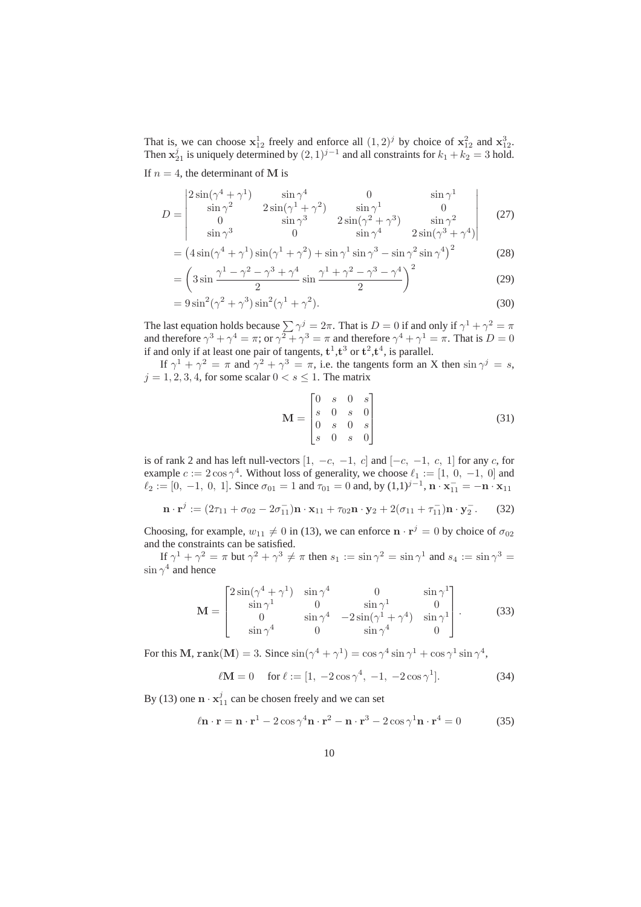That is, we can choose  $x_{12}^1$  freely and enforce all  $(1, 2)^j$  by choice of  $x_{12}^2$  and  $x_{12}^3$ . Then  $x_{21}^j$  is uniquely determined by  $(2, 1)^{j-1}$  and all constraints for  $k_1 + k_2 = 3$  hold.

If  $n = 4$ , the determinant of M is

$$
D = \begin{vmatrix} 2\sin(\gamma^4 + \gamma^1) & \sin \gamma^4 & 0 & \sin \gamma^1 \\ \sin \gamma^2 & 2\sin(\gamma^1 + \gamma^2) & \sin \gamma^1 & 0 \\ 0 & \sin \gamma^3 & 2\sin(\gamma^2 + \gamma^3) & \sin \gamma^2 \\ \sin \gamma^3 & 0 & \sin \gamma^4 & 2\sin(\gamma^3 + \gamma^4) \end{vmatrix}
$$
 (27)

$$
= \left(4\sin(\gamma^4 + \gamma^1)\sin(\gamma^1 + \gamma^2) + \sin\gamma^1\sin\gamma^3 - \sin\gamma^2\sin\gamma^4\right)^2\tag{28}
$$

$$
= \left(3\sin\frac{\gamma^1 - \gamma^2 - \gamma^3 + \gamma^4}{2}\sin\frac{\gamma^1 + \gamma^2 - \gamma^3 - \gamma^4}{2}\right)^2
$$
 (29)

$$
=9\sin^2(\gamma^2+\gamma^3)\sin^2(\gamma^1+\gamma^2). \tag{30}
$$

The last equation holds because  $\sum \gamma^j = 2\pi$ . That is  $D = 0$  if and only if  $\gamma^1 + \gamma^2 = \pi$ and therefore  $\gamma^3 + \gamma^4 = \pi$ ; or  $\gamma^2 + \gamma^3 = \pi$  and therefore  $\gamma^4 + \gamma^1 = \pi$ . That is  $D = 0$ if and only if at least one pair of tangents,  $t^1, t^3$  or  $t^2, t^4$ , is parallel.

If  $\gamma^1 + \gamma^2 = \pi$  and  $\gamma^2 + \gamma^3 = \pi$ , i.e. the tangents form an X then  $\sin \gamma^j = s$ ,  $j = 1, 2, 3, 4$ , for some scalar  $0 < s \leq 1$ . The matrix

$$
\mathbf{M} = \begin{bmatrix} 0 & s & 0 & s \\ s & 0 & s & 0 \\ 0 & s & 0 & s \\ s & 0 & s & 0 \end{bmatrix}
$$
 (31)

is of rank 2 and has left null-vectors  $[1, -c, -1, c]$  and  $[-c, -1, c, 1]$  for any c, for example  $c := 2 \cos \gamma^4$ . Without loss of generality, we choose  $\ell_1 := [1, 0, -1, 0]$  and  $\ell_2 := [0, -1, 0, 1]$ . Since  $\sigma_{01} = 1$  and  $\tau_{01} = 0$  and, by  $(1,1)^{j-1}$ ,  $\mathbf{n} \cdot \mathbf{x}_{11}^- = -\mathbf{n} \cdot \mathbf{x}_{11}$ 

$$
\mathbf{n} \cdot \mathbf{r}^j := (2\tau_{11} + \sigma_{02} - 2\sigma_{11}^{-})\mathbf{n} \cdot \mathbf{x}_{11} + \tau_{02}\mathbf{n} \cdot \mathbf{y}_2 + 2(\sigma_{11} + \tau_{11}^{-})\mathbf{n} \cdot \mathbf{y}_2^{-}.
$$
 (32)

Choosing, for example,  $w_{11} \neq 0$  in (13), we can enforce  $\mathbf{n} \cdot \mathbf{r}^j = 0$  by choice of  $\sigma_{02}$ and the constraints can be satisfied.

If  $\gamma^1 + \gamma^2 = \pi$  but  $\gamma^2 + \gamma^3 \neq \pi$  then  $s_1 := \sin \gamma^2 = \sin \gamma^1$  and  $s_4 := \sin \gamma^3 = \pi$  $\sin \gamma^4$  and hence

$$
\mathbf{M} = \begin{bmatrix} 2\sin(\gamma^4 + \gamma^1) & \sin\gamma^4 & 0 & \sin\gamma^1 \\ \sin\gamma^1 & 0 & \sin\gamma^1 & 0 \\ 0 & \sin\gamma^4 & -2\sin(\gamma^1 + \gamma^4) & \sin\gamma^1 \\ \sin\gamma^4 & 0 & \sin\gamma^4 & 0 \end{bmatrix} .
$$
 (33)

For this M, rank $(M) = 3$ . Since  $\sin(\gamma^4 + \gamma^1) = \cos \gamma^4 \sin \gamma^1 + \cos \gamma^1 \sin \gamma^4$ ,

$$
\ell \mathbf{M} = 0 \quad \text{for } \ell := [1, -2\cos\gamma^4, -1, -2\cos\gamma^1]. \tag{34}
$$

By (13) one  $\mathbf{n} \cdot \mathbf{x}_{11}^j$  can be chosen freely and we can set

$$
\ell \mathbf{n} \cdot \mathbf{r} = \mathbf{n} \cdot \mathbf{r}^1 - 2\cos\gamma^4 \mathbf{n} \cdot \mathbf{r}^2 - \mathbf{n} \cdot \mathbf{r}^3 - 2\cos\gamma^1 \mathbf{n} \cdot \mathbf{r}^4 = 0 \tag{35}
$$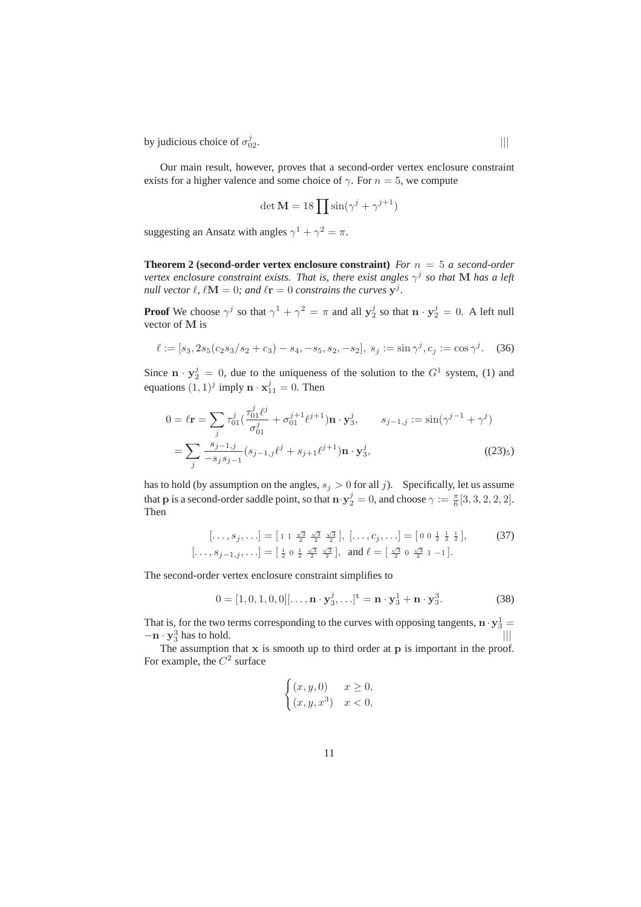by judicious choice of  $\sigma_0^j$  $\frac{1}{02}$ .

Our main result, however, proves that a second-order vertex enclosure constraint exists for a higher valence and some choice of  $\gamma$ . For  $n = 5$ , we compute

$$
\det \mathbf{M} = 18 \prod \sin(\gamma^j + \gamma^{j+1})
$$

suggesting an Ansatz with angles  $\gamma^1 + \gamma^2 = \pi$ .

**Theorem 2 (second-order vertex enclosure constraint)** *For* n = 5 *a second-order vertex enclosure constraint exists. That is, there exist angles* γ j *so that* M *has a left null vector*  $\ell$ ,  $\ell \mathbf{M} = 0$ ; and  $\ell \mathbf{r} = 0$  constrains the curves  $\mathbf{y}^j$ .

**Proof** We choose  $\gamma^j$  so that  $\gamma^1 + \gamma^2 = \pi$  and all  $y_2^j$  so that  $\mathbf{n} \cdot y_2^j = 0$ . A left null vector of M is

$$
\ell := [s_3, 2s_5(c_2s_3/s_2 + c_3) - s_4, -s_5, s_2, -s_2], \ s_j := \sin \gamma^j, c_j := \cos \gamma^j. \tag{36}
$$

Since  $\mathbf{n} \cdot \mathbf{y}_2^j = 0$ , due to the uniqueness of the solution to the  $G^1$  system, (1) and equations  $(1, 1)^j$  imply  $\mathbf{n} \cdot \mathbf{x}_{11}^j = 0$ . Then

$$
0 = \ell \mathbf{r} = \sum_{j} \tau_{01}^{j} \left( \frac{\tau_{01}^{j} \ell^{j}}{\sigma_{01}^{j}} + \sigma_{01}^{j+1} \ell^{j+1} \right) \mathbf{n} \cdot \mathbf{y}_{3}^{j}, \qquad s_{j-1,j} := \sin(\gamma^{j-1} + \gamma^{j})
$$

$$
= \sum_{j} \frac{s_{j-1,j}}{-s_{j}s_{j-1}} (s_{j-1,j}\ell^{j} + s_{j+1}\ell^{j+1}) \mathbf{n} \cdot \mathbf{y}_{3}^{j}, \qquad (23)_{5}
$$

has to hold (by assumption on the angles,  $s_j > 0$  for all j). Specifically, let us assume that **p** is a second-order saddle point, so that  $\mathbf{n} \cdot \mathbf{y}_2^j = 0$ , and choose  $\gamma := \frac{\pi}{6} [3, 3, 2, 2, 2]$ . Then

$$
[\ldots, s_j, \ldots] = [1 \ 1 \ \frac{\sqrt{3}}{2} \ \frac{\sqrt{3}}{2} \ \frac{\sqrt{3}}{2}], \ [\ldots, c_j, \ldots] = [0 \ 0 \ \frac{1}{2} \ \frac{1}{2} \ \frac{1}{2}], \tag{37}
$$

$$
[\ldots, s_{j-1,j}, \ldots] = [\frac{1}{2} \ 0 \ \frac{1}{2} \ \frac{\sqrt{3}}{2} \ \frac{\sqrt{3}}{2}], \text{ and } \ell = [\frac{\sqrt{3}}{2} \ 0 \ \frac{\sqrt{3}}{2} \ 1 \ -1].
$$

The second-order vertex enclosure constraint simplifies to

$$
0 = [1, 0, 1, 0, 0][\dots, \mathbf{n} \cdot \mathbf{y}_3^j, \dots]^{\mathbf{t}} = \mathbf{n} \cdot \mathbf{y}_3^1 + \mathbf{n} \cdot \mathbf{y}_3^3.
$$
 (38)

That is, for the two terms corresponding to the curves with opposing tangents,  $\mathbf{n} \cdot \mathbf{y}_3^1 =$  $-\mathbf{n} \cdot \mathbf{y}_3^3$  $\frac{3}{3}$  has to hold.  $|||$ 

The assumption that  $x$  is smooth up to third order at  $p$  is important in the proof. For example, the  $C^2$  surface

$$
\begin{cases}\n(x, y, 0) & x \ge 0, \\
(x, y, x^3) & x < 0,\n\end{cases}
$$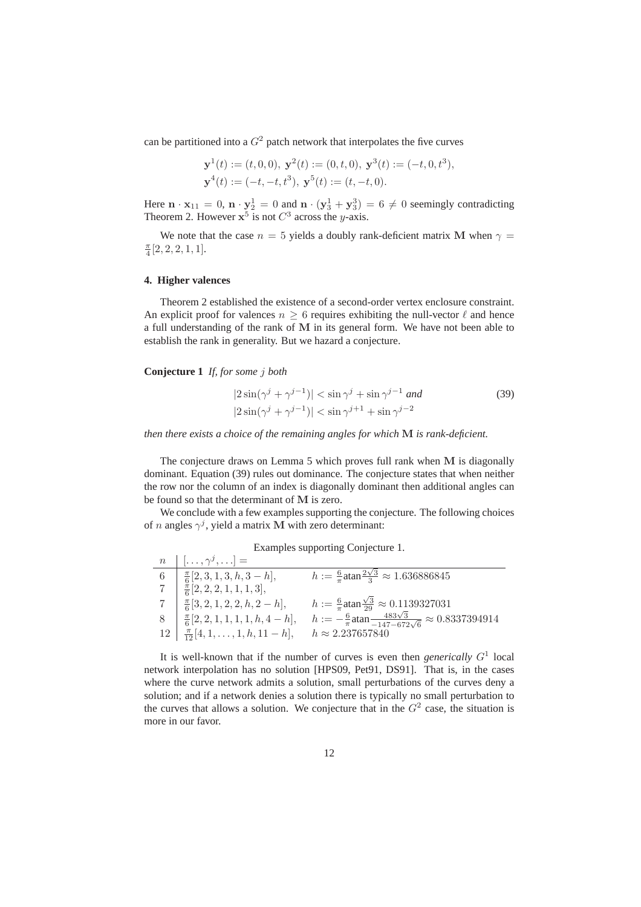can be partitioned into a  $G<sup>2</sup>$  patch network that interpolates the five curves

$$
\mathbf{y}^1(t) := (t, 0, 0), \ \mathbf{y}^2(t) := (0, t, 0), \ \mathbf{y}^3(t) := (-t, 0, t^3),
$$
  

$$
\mathbf{y}^4(t) := (-t, -t, t^3), \ \mathbf{y}^5(t) := (t, -t, 0).
$$

Here  $\mathbf{n} \cdot \mathbf{x}_{11} = 0$ ,  $\mathbf{n} \cdot \mathbf{y}_2^1 = 0$  and  $\mathbf{n} \cdot (\mathbf{y}_3^1 + \mathbf{y}_3^3) = 6 \neq 0$  seemingly contradicting Theorem 2. However  $x^5$  is not  $C^3$  across the y-axis.

We note that the case  $n = 5$  yields a doubly rank-deficient matrix M when  $\gamma =$  $\frac{\pi}{4}[2, 2, 2, 1, 1].$ 

#### **4. Higher valences**

Theorem 2 established the existence of a second-order vertex enclosure constraint. An explicit proof for valences  $n > 6$  requires exhibiting the null-vector  $\ell$  and hence a full understanding of the rank of M in its general form. We have not been able to establish the rank in generality. But we hazard a conjecture.

**Conjecture 1** *If, for some* j *both*

$$
|2\sin(\gamma^j + \gamma^{j-1})| < \sin\gamma^j + \sin\gamma^{j-1} \text{ and}
$$
\n
$$
|2\sin(\gamma^j + \gamma^{j-1})| < \sin\gamma^{j+1} + \sin\gamma^{j-2}
$$
\n
$$
(39)
$$

*then there exists a choice of the remaining angles for which* M *is rank-deficient.*

The conjecture draws on Lemma 5 which proves full rank when M is diagonally dominant. Equation (39) rules out dominance. The conjecture states that when neither the row nor the column of an index is diagonally dominant then additional angles can be found so that the determinant of M is zero.

We conclude with a few examples supporting the conjecture. The following choices of *n* angles  $\gamma^{j}$ , yield a matrix M with zero determinant:

|  | Examples supporting Conjecture 1. |  |  |
|--|-----------------------------------|--|--|
|--|-----------------------------------|--|--|

| $\boldsymbol{n}$ | $[\ldots, \gamma^j, \ldots] =$                 |                                                                                           |
|------------------|------------------------------------------------|-------------------------------------------------------------------------------------------|
| -6               | $\frac{\pi}{6}[2,3,1,3,h,3-h],$                | $h := \frac{6}{\pi} \text{atan}^{\frac{2\sqrt{3}}{3}} \approx 1.636886845$                |
|                  | $\frac{\pi}{6}[2,2,2,1,1,1,3],$                |                                                                                           |
|                  | $\frac{\pi}{6}[3,2,1,2,2,h,2-h],$              | $h := \frac{6}{\pi} \text{atan} \frac{\sqrt{3}}{29} \approx 0.1139327031$                 |
|                  | $\frac{\pi}{6}[2,2,1,1,1,1,h,4-h],$            | $h:=-\frac{6}{\pi} \text{atan} \frac{483\sqrt{3}}{-147-672\sqrt{6}} \approx 0.8337394914$ |
|                  | $12 \mid \frac{\pi}{12}[4,1,\ldots,1,h,11-h],$ | $h \approx 2.237657840$                                                                   |

It is well-known that if the number of curves is even then *generically*  $G<sup>1</sup>$  local network interpolation has no solution [HPS09, Pet91, DS91]. That is, in the cases where the curve network admits a solution, small perturbations of the curves deny a solution; and if a network denies a solution there is typically no small perturbation to the curves that allows a solution. We conjecture that in the  $G<sup>2</sup>$  case, the situation is more in our favor.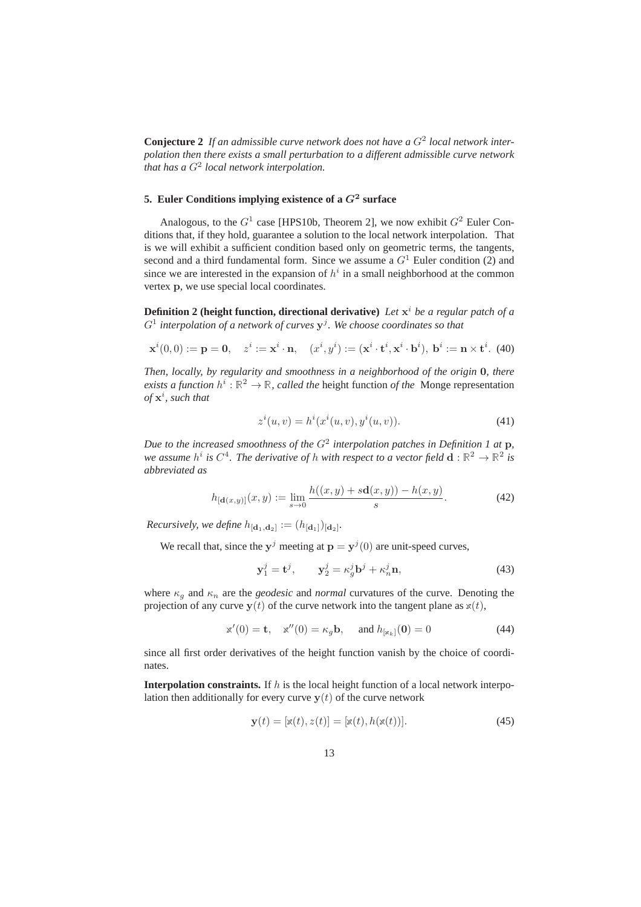**Conjecture 2** If an admissible curve network does not have a  $G<sup>2</sup>$  local network inter*polation then there exists a small perturbation to a different admissible curve network that has a* G<sup>2</sup> *local network interpolation.*

# 5. Euler Conditions implying existence of a  $G^2$  surface

Analogous, to the  $G^1$  case [HPS10b, Theorem 2], we now exhibit  $G^2$  Euler Conditions that, if they hold, guarantee a solution to the local network interpolation. That is we will exhibit a sufficient condition based only on geometric terms, the tangents, second and a third fundamental form. Since we assume a  $G<sup>1</sup>$  Euler condition (2) and since we are interested in the expansion of  $h^i$  in a small neighborhood at the common vertex p, we use special local coordinates.

**Definition 2 (height function, directional derivative)** *Let* x <sup>i</sup> *be a regular patch of a* G<sup>1</sup> *interpolation of a network of curves* y j *. We choose coordinates so that*

$$
\mathbf{x}^i(0,0) := \mathbf{p} = \mathbf{0}, \quad z^i := \mathbf{x}^i \cdot \mathbf{n}, \quad (x^i, y^i) := (\mathbf{x}^i \cdot \mathbf{t}^i, \mathbf{x}^i \cdot \mathbf{b}^i), \ \mathbf{b}^i := \mathbf{n} \times \mathbf{t}^i. \tag{40}
$$

*Then, locally, by regularity and smoothness in a neighborhood of the origin* 0*, there exists a function*  $h^i : \mathbb{R}^2 \to \mathbb{R}$ , *called the* height function *of the* Monge representation *of* x i *, such that*

$$
z^{i}(u, v) = h^{i}(x^{i}(u, v), y^{i}(u, v)).
$$
\n(41)

Due to the increased smoothness of the  $G^2$  interpolation patches in Definition 1 at **p**, we assume  $h^i$  is  $C^4$ . The derivative of  $h$  with respect to a vector field  $\mathbf{d}:\mathbb{R}^2\to\mathbb{R}^2$  is *abbreviated as*

$$
h_{[\mathbf{d}(x,y)]}(x,y) := \lim_{s \to 0} \frac{h((x,y) + s\mathbf{d}(x,y)) - h(x,y)}{s}.
$$
 (42)

*Recursively, we define*  $h_{[d_1, d_2]} := (h_{[d_1]})_{[d_2]}$ .

We recall that, since the  $y^j$  meeting at  $p = y^j(0)$  are unit-speed curves,

$$
\mathbf{y}_1^j = \mathbf{t}^j, \qquad \mathbf{y}_2^j = \kappa_g^j \mathbf{b}^j + \kappa_n^j \mathbf{n}, \tag{43}
$$

where  $\kappa_g$  and  $\kappa_n$  are the *geodesic* and *normal* curvatures of the curve. Denoting the projection of any curve  $y(t)$  of the curve network into the tangent plane as  $x(t)$ ,

$$
\mathbf{x}'(0) = \mathbf{t}, \quad \mathbf{x}''(0) = \kappa_g \mathbf{b}, \quad \text{ and } h_{[\mathbf{x}_k]}(\mathbf{0}) = 0 \tag{44}
$$

since all first order derivatives of the height function vanish by the choice of coordinates.

**Interpolation constraints.** If  $h$  is the local height function of a local network interpolation then additionally for every curve  $y(t)$  of the curve network

$$
\mathbf{y}(t) = [x(t), z(t)] = [x(t), h(x(t))]. \tag{45}
$$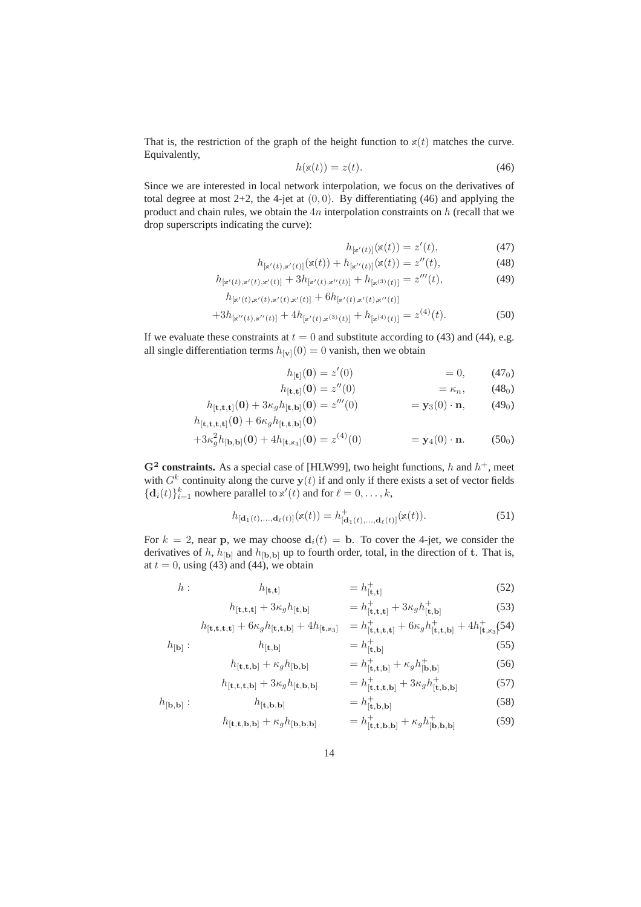That is, the restriction of the graph of the height function to  $x(t)$  matches the curve. Equivalently,

$$
h(\mathbf{x}(t)) = z(t). \tag{46}
$$

Since we are interested in local network interpolation, we focus on the derivatives of total degree at most  $2+2$ , the 4-jet at  $(0, 0)$ . By differentiating (46) and applying the product and chain rules, we obtain the  $4n$  interpolation constraints on  $h$  (recall that we drop superscripts indicating the curve):

$$
h_{[x'(t)]}(x(t)) = z'(t),
$$
\n(47)

$$
h_{[x'(t),x'(t)]}(x(t)) + h_{[x''(t)]}(x(t)) = z''(t),
$$
\n(48)

$$
h_{[x'(t),x'(t),x'(t)]} + 3h_{[x'(t),x''(t)]} + h_{[x^{(3)}(t)]} = z'''(t),
$$
\n(49)

$$
h_{[x'(t),x'(t),x'(t),x'(t)]} + 6h_{[x'(t),x'(t),x''(t)]}
$$
  
+3h\_{[x''(t),x''(t)]} + 4h\_{[x'(t),x^{(3)}(t)]} + h\_{[x^{(4)}(t)]} = z^{(4)}(t). (50)

If we evaluate these constraints at  $t = 0$  and substitute according to (43) and (44), e.g. all single differentiation terms  $h_{[**v**]}(0) = 0$  vanish, then we obtain

$$
h_{[t]}(0) = z'(0) = 0, \t(47_0)
$$

$$
h_{\left[\mathbf{t},\mathbf{t}\right]}(\mathbf{0}) = z''(0) \qquad \qquad = \kappa_n, \qquad (48_0)
$$

$$
h_{\left[\mathbf{t},\mathbf{t},\mathbf{t}\right]}(\mathbf{0}) + 3\kappa_g h_{\left[\mathbf{t},\mathbf{b}\right]}(\mathbf{0}) = z'''(0) \qquad \qquad = \mathbf{y}_3(0) \cdot \mathbf{n}, \qquad (49_0)
$$

$$
h_{\left[\mathbf{t},\mathbf{t},\mathbf{t},\mathbf{t}\right]}(\mathbf{0}) + 6\kappa_g h_{\left[\mathbf{t},\mathbf{t},\mathbf{b}\right]}(\mathbf{0})
$$

$$
+3\kappa_g^2 h_{[b,b]}(0) + 4h_{[t,x_3]}(0) = z^{(4)}(0) \qquad \qquad = y_4(0) \cdot \mathbf{n}.\tag{500}
$$

 $G<sup>2</sup>$  constraints. As a special case of [HLW99], two height functions, h and  $h<sup>+</sup>$ , meet with  $G^k$  continuity along the curve  $y(t)$  if and only if there exists a set of vector fields  ${d_i(t)}_{i=1}^k$  nowhere parallel to  $x'(t)$  and for  $\ell = 0, \ldots, k$ ,

$$
h_{[\mathbf{d}_1(t),\ldots,\mathbf{d}_\ell(t)]}(\mathbf{x}(t)) = h^+_{[\mathbf{d}_1(t),\ldots,\mathbf{d}_\ell(t)]}(\mathbf{x}(t)).
$$
\n(51)

For  $k = 2$ , near p, we may choose  $d_i(t) = b$ . To cover the 4-jet, we consider the derivatives of h,  $h_{\text{[b]}}$  and  $h_{\text{[b,b]}}$  up to fourth order, total, in the direction of t. That is, at  $t = 0$ , using (43) and (44), we obtain

$$
h: \qquad h_{\left[\mathbf{t},\mathbf{t}\right]} \qquad \qquad = h_{\left[\mathbf{t},\mathbf{t}\right]}^{+} \tag{52}
$$

$$
h_{[\mathbf{t},\mathbf{t},\mathbf{t}]} + 3\kappa_g h_{[\mathbf{t},\mathbf{b}]} \qquad \qquad = h_{[\mathbf{t},\mathbf{t},\mathbf{t}]}^+ + 3\kappa_g h_{[\mathbf{t},\mathbf{b}]}^+ \tag{53}
$$

$$
h_{[t, t, t, t]} + 6\kappa_g h_{[t, t, b]} + 4h_{[t, x_3]} = h^+_{[t, t, t, t]} + 6\kappa_g h^+_{[t, t, b]} + 4h^+_{[t, x_3]}(54)
$$

$$
h_{\left[\mathbf{b}\right]}: \qquad h_{\left[\mathbf{t},\mathbf{b}\right]} \qquad = h_{\left[\mathbf{t},\mathbf{b}\right]}^+\tag{55}
$$

$$
h_{[\mathbf{t},\mathbf{t},\mathbf{b}]} + \kappa_g h_{[\mathbf{b},\mathbf{b}]} \qquad \qquad = h_{[\mathbf{t},\mathbf{t},\mathbf{b}]}^+ + \kappa_g h_{[\mathbf{b},\mathbf{b}]}^+ \tag{56}
$$

$$
h_{[\mathbf{t},\mathbf{t},\mathbf{t},\mathbf{b}]} + 3\kappa_g h_{[\mathbf{t},\mathbf{b},\mathbf{b}]} \qquad \qquad = h_{[\mathbf{t},\mathbf{t},\mathbf{t},\mathbf{b}]}^+ + 3\kappa_g h_{[\mathbf{t},\mathbf{b},\mathbf{b}]}^+ \tag{57}
$$

$$
h_{[\mathbf{b},\mathbf{b}]}: \t\t h_{[\mathbf{t},\mathbf{b},\mathbf{b}]} \t\t = h_{[\mathbf{t},\mathbf{b},\mathbf{b}]}^{+} \t\t (58)
$$

$$
h_{[\mathbf{t}, \mathbf{t}, \mathbf{b}, \mathbf{b}]} + \kappa_g h_{[\mathbf{b}, \mathbf{b}, \mathbf{b}]} \qquad \qquad = h_{[\mathbf{t}, \mathbf{t}, \mathbf{b}, \mathbf{b}]}^+ + \kappa_g h_{[\mathbf{b}, \mathbf{b}, \mathbf{b}]}^+ \tag{59}
$$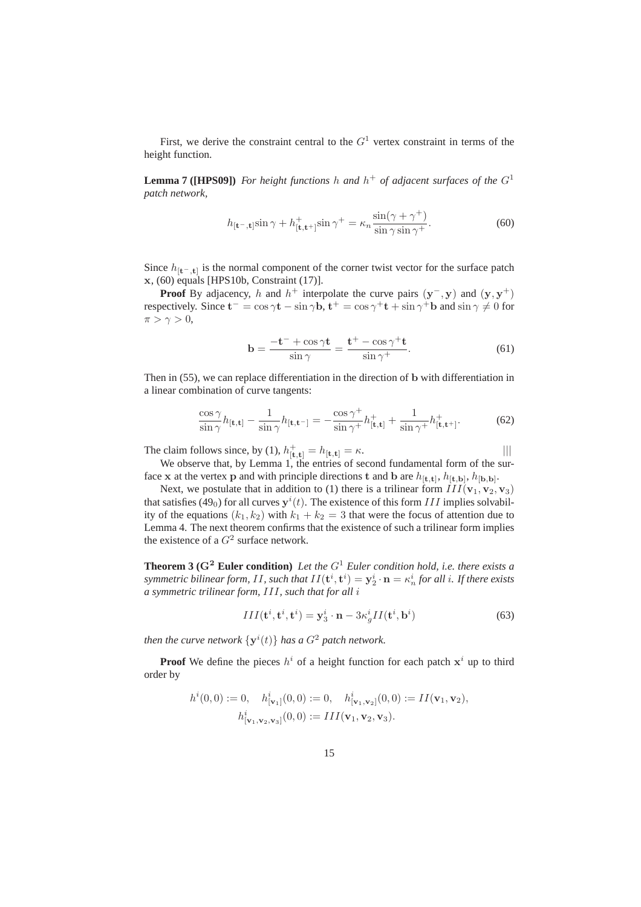First, we derive the constraint central to the  $G<sup>1</sup>$  vertex constraint in terms of the height function.

**Lemma 7 ([HPS09])** For height functions h and  $h^+$  of adjacent surfaces of the  $G^1$ *patch network,*

$$
h_{\left[\mathbf{t}^-, \mathbf{t}\right]} \sin \gamma + h_{\left[\mathbf{t}, \mathbf{t}^+\right]}^+ \sin \gamma^+ = \kappa_n \frac{\sin(\gamma + \gamma^+)}{\sin \gamma \sin \gamma^+}.\tag{60}
$$

Since  $h_{[t-,t]}$  is the normal component of the corner twist vector for the surface patch x, (60) equals [HPS10b, Constraint (17)].

**Proof** By adjacency, h and  $h^+$  interpolate the curve pairs  $(y^-, y)$  and  $(y, y^+)$ respectively. Since  $\mathbf{t}^- = \cos \gamma \mathbf{t} - \sin \gamma \mathbf{b}$ ,  $\mathbf{t}^+ = \cos \gamma^+ \mathbf{t} + \sin \gamma^+ \mathbf{b}$  and  $\sin \gamma \neq 0$  for  $\pi > \gamma > 0$ ,

$$
\mathbf{b} = \frac{-\mathbf{t}^- + \cos \gamma \mathbf{t}}{\sin \gamma} = \frac{\mathbf{t}^+ - \cos \gamma^+ \mathbf{t}}{\sin \gamma^+}.
$$
 (61)

Then in (55), we can replace differentiation in the direction of b with differentiation in a linear combination of curve tangents:

$$
\frac{\cos \gamma}{\sin \gamma} h_{\left[\mathbf{t},\mathbf{t}\right]} - \frac{1}{\sin \gamma} h_{\left[\mathbf{t},\mathbf{t}^-\right]} = -\frac{\cos \gamma^+}{\sin \gamma^+} h_{\left[\mathbf{t},\mathbf{t}^+\right]}^+ + \frac{1}{\sin \gamma^+} h_{\left[\mathbf{t},\mathbf{t}^+\right]}^+.
$$
 (62)

The claim follows since, by (1),  $h_{[\mathbf{t},\mathbf{t}]}^+ = h_{[\mathbf{t},\mathbf{t}]} = \kappa$ . |||

We observe that, by Lemma 1, the entries of second fundamental form of the surface x at the vertex p and with principle directions t and b are  $h_{[t,t]}$ ,  $h_{[t,b]}$ ,  $h_{[b,b]}$ .

Next, we postulate that in addition to (1) there is a trilinear form  $III(\mathbf{v}_1, \mathbf{v}_2, \mathbf{v}_3)$ that satisfies (49<sub>0</sub>) for all curves  $y^{i}(t)$ . The existence of this form *III* implies solvability of the equations  $(k_1, k_2)$  with  $k_1 + k_2 = 3$  that were the focus of attention due to Lemma 4. The next theorem confirms that the existence of such a trilinear form implies the existence of a  $G^2$  surface network.

**Theorem 3 (**G<sup>2</sup> **Euler condition)** *Let the* G<sup>1</sup> *Euler condition hold, i.e. there exists a*  $s$ ymmetric bilinear form,  $II$ , such that  $II({\bf t}^i,{\bf t}^i)={\bf y}^i_2\cdot{\bf n}=\kappa^i_n$  for all  $i.$  If there exists *a symmetric trilinear form,* III*, such that for all* i

$$
III(\mathbf{t}^i, \mathbf{t}^i, \mathbf{t}^i) = \mathbf{y}_3^i \cdot \mathbf{n} - 3\kappa_g^i II(\mathbf{t}^i, \mathbf{b}^i)
$$
 (63)

*then the curve network*  $\{y^i(t)\}$  *has a*  $G^2$  *patch network.* 

**Proof** We define the pieces  $h^i$  of a height function for each patch  $x^i$  up to third order by

$$
h^{i}(0,0) := 0, \quad h^{i}_{[\mathbf{v}_{1}]}(0,0) := 0, \quad h^{i}_{[\mathbf{v}_{1},\mathbf{v}_{2}]}(0,0) := II(\mathbf{v}_{1},\mathbf{v}_{2}),
$$

$$
h^{i}_{[\mathbf{v}_{1},\mathbf{v}_{2},\mathbf{v}_{3}]}(0,0) := III(\mathbf{v}_{1},\mathbf{v}_{2},\mathbf{v}_{3}).
$$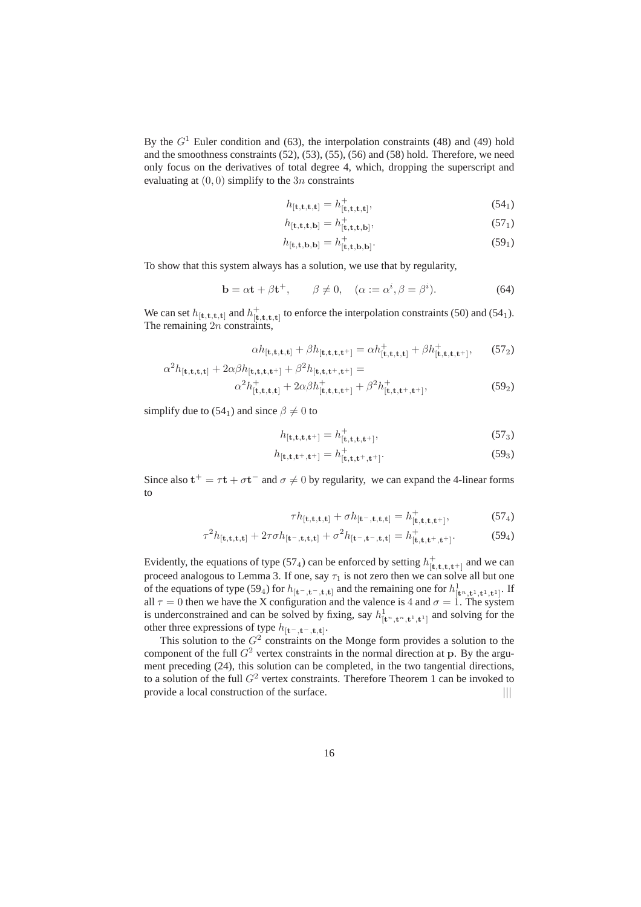By the  $G<sup>1</sup>$  Euler condition and (63), the interpolation constraints (48) and (49) hold and the smoothness constraints (52), (53), (55), (56) and (58) hold. Therefore, we need only focus on the derivatives of total degree 4, which, dropping the superscript and evaluating at  $(0, 0)$  simplify to the 3n constraints

$$
h_{\left[\mathbf{t},\mathbf{t},\mathbf{t},\mathbf{t}\right]} = h_{\left[\mathbf{t},\mathbf{t},\mathbf{t},\mathbf{t}\right]}^{+},\tag{54}
$$

$$
h_{\left[\mathbf{t},\mathbf{t},\mathbf{b}\right]} = h_{\left[\mathbf{t},\mathbf{t},\mathbf{t},\mathbf{b}\right]}^{+},\tag{57}
$$

$$
h_{[\mathbf{t}, \mathbf{t}, \mathbf{b}, \mathbf{b}]} = h_{[\mathbf{t}, \mathbf{t}, \mathbf{b}, \mathbf{b}]}^{+}.
$$
 (59<sub>1</sub>)

To show that this system always has a solution, we use that by regularity,

$$
\mathbf{b} = \alpha \mathbf{t} + \beta \mathbf{t}^+, \qquad \beta \neq 0, \quad (\alpha := \alpha^i, \beta = \beta^i). \tag{64}
$$

We can set  $h_{[t,t,t,t]}$  and  $h_{[t,t,t,t]}^+$  to enforce the interpolation constraints (50) and (54<sub>1</sub>). The remaining  $2n$  constraints,

$$
\alpha h_{[\mathbf{t},\mathbf{t},\mathbf{t},\mathbf{t}]} + \beta h_{[\mathbf{t},\mathbf{t},\mathbf{t},\mathbf{t}^+]} = \alpha h_{[\mathbf{t},\mathbf{t},\mathbf{t},\mathbf{t}]}^+ + \beta h_{[\mathbf{t},\mathbf{t},\mathbf{t},\mathbf{t}^+]}^+, \qquad (57_2)
$$

$$
\alpha^2 h_{\left[\mathbf{t},\mathbf{t},\mathbf{t},\mathbf{t}\right]} + 2\alpha\beta h_{\left[\mathbf{t},\mathbf{t},\mathbf{t},\mathbf{t}^+\right]} + \beta^2 h_{\left[\mathbf{t},\mathbf{t},\mathbf{t}^+\right,\mathbf{t}^+\right]} =
$$
\n
$$
\alpha^2 h_{\left[\mathbf{t},\mathbf{t},\mathbf{t},\mathbf{t}\right]} + 2\alpha\beta h_{\left[\mathbf{t},\mathbf{t},\mathbf{t}^+\right]}^+ + \beta^2 h_{\left[\mathbf{t},\mathbf{t},\mathbf{t}^+\right,\mathbf{t}^+\right]},
$$
\n(59<sub>2</sub>)

simplify due to (54<sub>1</sub>) and since  $\beta \neq 0$  to

$$
h_{\left[\mathbf{t},\mathbf{t},\mathbf{t},\mathbf{t}^+\right]} = h_{\left[\mathbf{t},\mathbf{t},\mathbf{t},\mathbf{t}^+\right]}^+, \tag{57}_3
$$

$$
h_{\left[\mathbf{t},\mathbf{t},\mathbf{t}^+,\mathbf{t}^+\right]} = h_{\left[\mathbf{t},\mathbf{t},\mathbf{t}^+,\mathbf{t}^+\right]}^{\dagger}.\tag{59_3}
$$

Since also  $t^+ = \tau t + \sigma t^-$  and  $\sigma \neq 0$  by regularity, we can expand the 4-linear forms to

$$
\tau h_{[\mathbf{t}, \mathbf{t}, \mathbf{t}, \mathbf{t}]} + \sigma h_{[\mathbf{t}^-, \mathbf{t}, \mathbf{t}, \mathbf{t}]} = h_{[\mathbf{t}, \mathbf{t}, \mathbf{t}, \mathbf{t}^+]}^+, \tag{57_4}
$$

$$
\tau^2 h_{\left[\mathbf{t}, \mathbf{t}, \mathbf{t}, \mathbf{t}\right]} + 2\tau \sigma h_{\left[\mathbf{t}^-, \mathbf{t}, \mathbf{t}, \mathbf{t}\right]} + \sigma^2 h_{\left[\mathbf{t}^-, \mathbf{t}^-, \mathbf{t}, \mathbf{t}\right]} = h_{\left[\mathbf{t}, \mathbf{t}, \mathbf{t}^+, \mathbf{t}^+\right]}^+.
$$
(59<sub>4</sub>)

Evidently, the equations of type (57<sub>4</sub>) can be enforced by setting  $h_{[\mathbf{t},\mathbf{t},\mathbf{t},\mathbf{t+}]}^+$  and we can proceed analogous to Lemma 3. If one, say  $\tau_1$  is not zero then we can solve all but one of the equations of type (59<sub>4</sub>) for  $h_{[t^-,t^-,t,t]}$  and the remaining one for  $h^1_{[t^n,t^1,t^1,t^1]}$ . If all  $\tau = 0$  then we have the X configuration and the valence is 4 and  $\sigma = 1$ . The system is underconstrained and can be solved by fixing, say  $h_{[\mathbf{t}^n, \mathbf{t}^n, \mathbf{t}^1, \mathbf{t}^1]}^1$  and solving for the other three expressions of type  $h_{[t^-,t^-,t,t]}$ .

This solution to the  $G<sup>2</sup>$  constraints on the Monge form provides a solution to the component of the full  $G<sup>2</sup>$  vertex constraints in the normal direction at p. By the argument preceding (24), this solution can be completed, in the two tangential directions, to a solution of the full  $G^2$  vertex constraints. Therefore Theorem 1 can be invoked to provide a local construction of the surface.  $|||$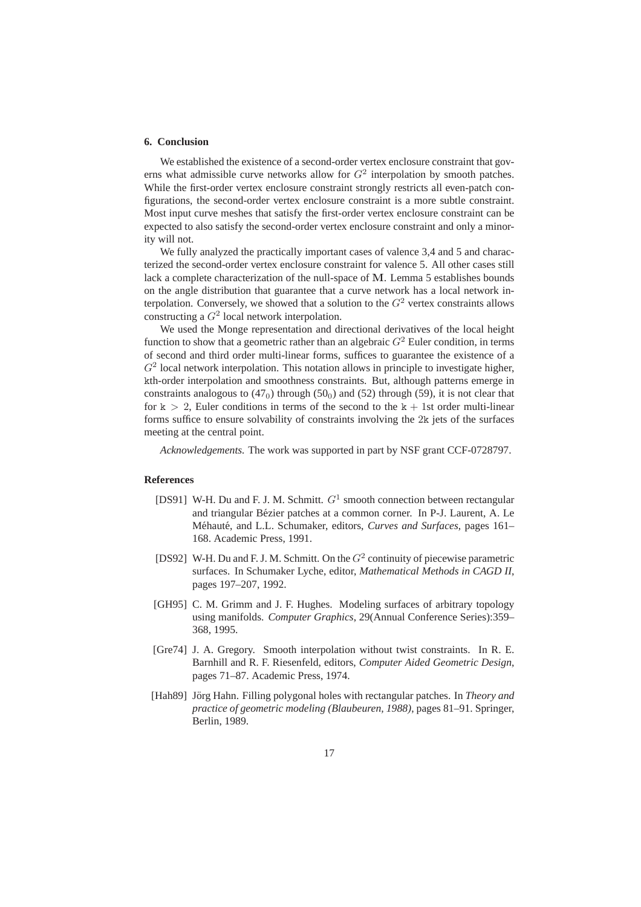#### **6. Conclusion**

We established the existence of a second-order vertex enclosure constraint that governs what admissible curve networks allow for  $G<sup>2</sup>$  interpolation by smooth patches. While the first-order vertex enclosure constraint strongly restricts all even-patch configurations, the second-order vertex enclosure constraint is a more subtle constraint. Most input curve meshes that satisfy the first-order vertex enclosure constraint can be expected to also satisfy the second-order vertex enclosure constraint and only a minority will not.

We fully analyzed the practically important cases of valence 3,4 and 5 and characterized the second-order vertex enclosure constraint for valence 5. All other cases still lack a complete characterization of the null-space of M. Lemma 5 establishes bounds on the angle distribution that guarantee that a curve network has a local network interpolation. Conversely, we showed that a solution to the  $G<sup>2</sup>$  vertex constraints allows constructing a  $G^2$  local network interpolation.

We used the Monge representation and directional derivatives of the local height function to show that a geometric rather than an algebraic  $G<sup>2</sup>$  Euler condition, in terms of second and third order multi-linear forms, suffices to guarantee the existence of a  $G<sup>2</sup>$  local network interpolation. This notation allows in principle to investigate higher, kth-order interpolation and smoothness constraints. But, although patterns emerge in constraints analogous to  $(47<sub>0</sub>)$  through  $(50<sub>0</sub>)$  and  $(52)$  through  $(59)$ , it is not clear that for  $k > 2$ , Euler conditions in terms of the second to the  $k + 1$ st order multi-linear forms suffice to ensure solvability of constraints involving the 2k jets of the surfaces meeting at the central point.

*Acknowledgements.* The work was supported in part by NSF grant CCF-0728797.

## **References**

- [DS91] W-H. Du and F. J. M. Schmitt.  $G^1$  smooth connection between rectangular and triangular Bézier patches at a common corner. In P-J. Laurent, A. Le Méhauté, and L.L. Schumaker, editors, *Curves and Surfaces*, pages 161– 168. Academic Press, 1991.
- [DS92] W-H. Du and F. J. M. Schmitt. On the  $G<sup>2</sup>$  continuity of piecewise parametric surfaces. In Schumaker Lyche, editor, *Mathematical Methods in CAGD II*, pages 197–207, 1992.
- [GH95] C. M. Grimm and J. F. Hughes. Modeling surfaces of arbitrary topology using manifolds. *Computer Graphics*, 29(Annual Conference Series):359– 368, 1995.
- [Gre74] J. A. Gregory. Smooth interpolation without twist constraints. In R. E. Barnhill and R. F. Riesenfeld, editors, *Computer Aided Geometric Design*, pages 71–87. Academic Press, 1974.
- [Hah89] Jörg Hahn. Filling polygonal holes with rectangular patches. In *Theory and practice of geometric modeling (Blaubeuren, 1988)*, pages 81–91. Springer, Berlin, 1989.